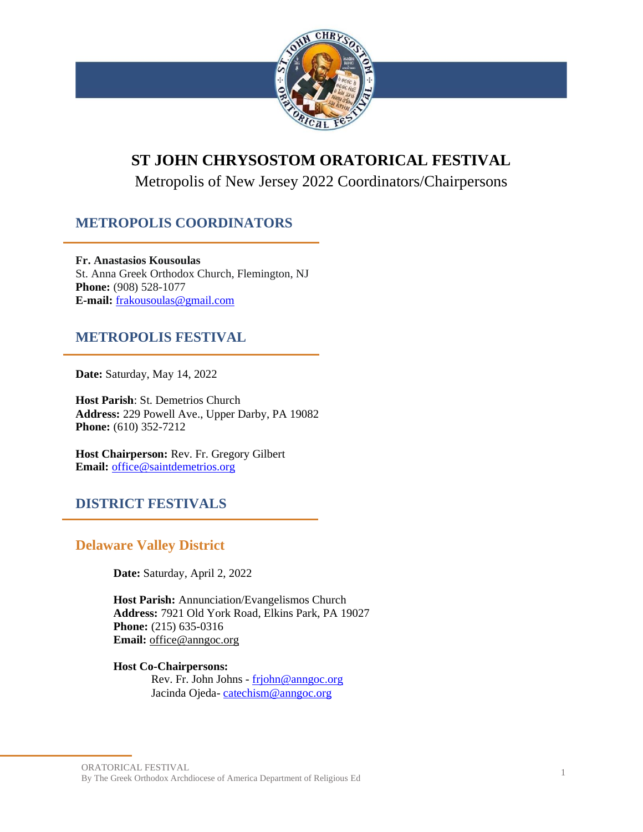

# **ST JOHN CHRYSOSTOM ORATORICAL FESTIVAL**

Metropolis of New Jersey 2022 Coordinators/Chairpersons

## **METROPOLIS COORDINATORS**

**Fr. Anastasios Kousoulas** St. Anna Greek Orthodox Church, Flemington, NJ **Phone:** (908) 528-1077 **E-mail:** [frakousoulas@gmail.com](mailto:frakousoulas@gmail.com)

## **METROPOLIS FESTIVAL**

**Date:** Saturday, May 14, 2022

**Host Parish**: St. Demetrios Church **Address:** 229 Powell Ave., Upper Darby, PA 19082 **Phone:** (610) 352-7212

**Host Chairperson:** Rev. Fr. Gregory Gilbert **Email:** [office@saintdemetrios.org](mailto:office@saintdemetrios.org)

## **DISTRICT FESTIVALS**

## **Delaware Valley District**

**Date:** Saturday, April 2, 2022

**Host Parish:** Annunciation/Evangelismos Church **Address:** 7921 Old York Road, Elkins Park, PA 19027 **Phone:** (215) 635-0316 **Email:** [office@anngoc.org](mailto:office@anngoc.org)

**Host Co-Chairpersons:**  Rev. Fr. John Johns - [frjohn@anngoc.org](mailto:frjohn@anngoc.org)

Jacinda Ojeda- [catechism@anngoc.org](mailto:catechism@anngoc.org)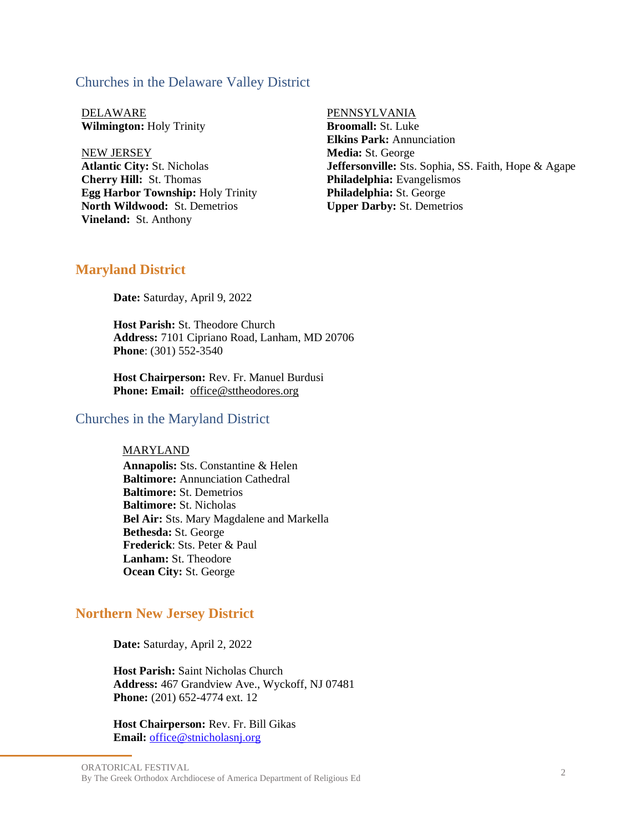#### Churches in the Delaware Valley District

DELAWARE PENNSYLVANIA **Wilmington:** Holy Trinity

NEW JERSEY **Atlantic City:** St. Nicholas **Cherry Hill:** St. Thomas **Egg Harbor Township:** Holy Trinity **North Wildwood:** St. Demetrios **Vineland:** St. Anthony

**Broomall:** St. Luke **Elkins Park:** Annunciation **Media:** St. George **Jeffersonville:** Sts. Sophia, SS. Faith, Hope & Agape **Philadelphia:** Evangelismos **Philadelphia:** St. George **Upper Darby:** St. Demetrios

#### **Maryland District**

**Date:** Saturday, April 9, 2022

**Host Parish:** St. Theodore Church  **Address:** 7101 Cipriano Road, Lanham, MD 20706  **Phone**: (301) 552-3540

**Host Chairperson:** Rev. Fr. Manuel Burdusi  **Phone: Email:** [office@sttheodores.org](mailto:office@sttheodores.org)

#### Churches in the Maryland District

#### MARYLAND

**Annapolis:** Sts. Constantine & Helen **Baltimore:** Annunciation Cathedral **Baltimore:** St. Demetrios **Baltimore:** St. Nicholas **Bel Air:** Sts. Mary Magdalene and Markella **Bethesda:** St. George **Frederick**: Sts. Peter & Paul **Lanham:** St. Theodore **Ocean City:** St. George

### **Northern New Jersey District**

**Date:** Saturday, April 2, 2022

**Host Parish:** Saint Nicholas Church  **Address:** 467 Grandview Ave., Wyckoff, NJ 07481 **Phone:** (201) 652-4774 ext. 12

**Host Chairperson:** Rev. Fr. Bill Gikas  **Email:** [office@stnicholasnj.org](mailto:office@stnicholasnj.org)